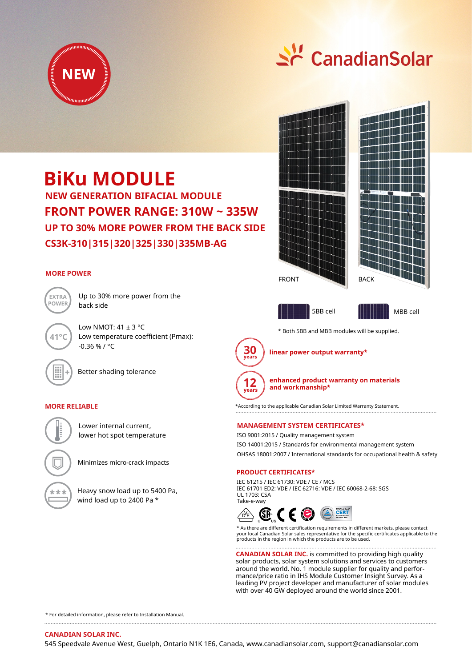

# St CanadianSolar

## **BiKu MODULE**

**CS3K-310|315|320|325|330|335MB-AG FRONT POWER RANGE: 310W ~ 335W NEW GENERATION BIFACIAL MODULE UP TO 30% MORE POWER FROM THE BACK SIDE**

#### **MORE POWER**



**41°C**

Up to 30% more power from the back side

Low NMOT:  $41 \pm 3$  °C Low temperature coefficient (Pmax): -0.36 % / °C

Better shading tolerance

#### **MORE RELIABLE**



lower hot spot temperature Minimizes micro-crack impacts

Lower internal current,

Heavy snow load up to 5400 Pa, wind load up to 2400 Pa \*





5BB cell MBB cell

\* Both 5BB and MBB modules will be supplied.



**linear power output warranty\***



**enhanced product warranty on materials and workmanship\***

\*According to the applicable Canadian Solar Limited Warranty Statement.

#### **MANAGEMENT SYSTEM CERTIFICATES\***

ISO 9001:2015 / Quality management system ISO 14001:2015 / Standards for environmental management system OHSAS 18001:2007 / International standards for occupational health & safety

#### **PRODUCT CERTIFICATES\***

IEC 61215 / IEC 61730: VDE / CE / MCS IEC 61701 ED2: VDE / IEC 62716: VDE / IEC 60068-2-68: SGS UL 1703: CSA Take-e-way



\* As there are different certification requirements in different markets, please contact your local Canadian Solar sales representative for the specific certificates applicable to the products in the region in which the products are to be used.

**CANADIAN SOLAR INC.** is committed to providing high quality solar products, solar system solutions and services to customers around the world. No. 1 module supplier for quality and performance/price ratio in IHS Module Customer Insight Survey. As a leading PV project developer and manufacturer of solar modules with over 40 GW deployed around the world since 2001.

\* For detailed information, please refer to Installation Manual.

545 Speedvale Avenue West, Guelph, Ontario N1K 1E6, Canada, www.canadiansolar.com, support@canadiansolar.com